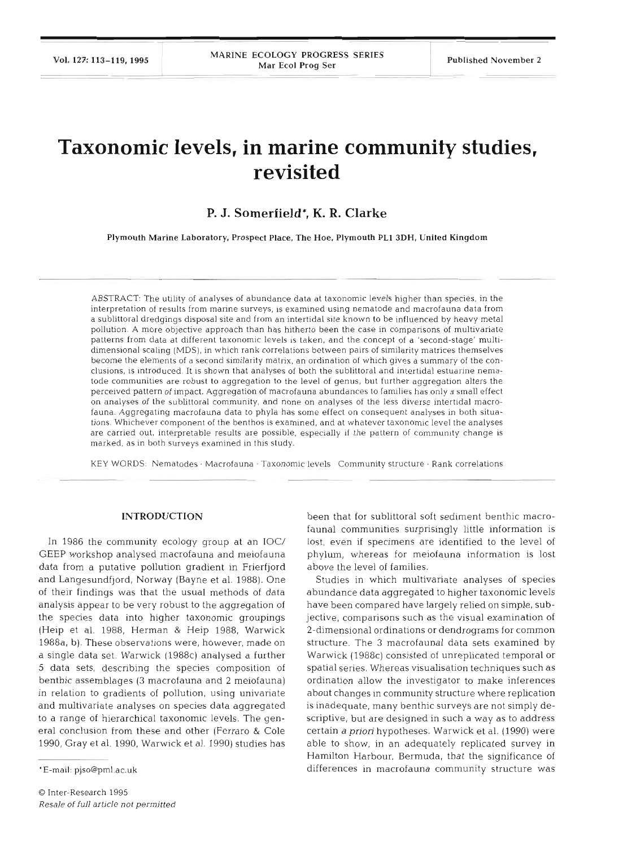# **Taxonomic levels, in marine community studies, revisited**

## **P. J. Somerfield\*, K. R. Clarke**

Plymouth Marine Laboratory, Prospect Place, The Hoe, Plymouth PL1 **3DH,** United Kingdom

ABSTRACT: The utility of analyses of abundance data at taxonomic levels higher than species, in the interpretation of results from manne surveys, is examined using nematode and macrofauna data from a sublittoral dredgings disposal site and from an intertidal site known to be influenced by heavy metal pollution. A more objective approach than has hitherto been the case in comparisons of multivariate patterns from data at different taxonomic levels is taken, and the concept of a 'second-stage' multidimensional scaling (MDS), in which rank correlations between pairs of similarity matrices themselves become the elements of a second similarity matrix, an ordination of which gives a summary of the conclusions, is introduced. It is shown that analyses of both the sublittoral and intertidal estuarine nematode communities are robust to aggregation to the level of genus, but further aggregation alters the perceived pattern of impact. Aggregation of macrofauna abundances to families has only a small effect on analyses of the sublittoral community, and none on analyses of the less diverse intertidal macrofauna. Aggregating macrofauna data to phyla has some effect on consequent analyses in both situations. Whichever component of the benthos is examined, and at whatever taxonomic level the analyses are carried out, interpretable results are possible, especially if the pattern of community change is marked, as in both surveys examined in this study.

KEY WORDS: Nematodes · Macrofauna · Taxonomic levels Community structure · Rank correlations

#### **INTRODUCTION**

In 1986 the community ecology group at an IOC/ GEEP workshop analysed macrofauna and meiofauna data from a putative pollution gradient in Frierfjord and Langesundfjord, Norway (Bayne et al. 1988). One of their findings was that the usual methods of data analysis appear to be very robust to the aggregation of the species data into higher taxonomic groupings (Heip et al. 1988, Herman & Heip 1988, Warwick 1988a, b). These observations were, however, made on a single data set. Warwick (1988c) analysed a further 5 data sets, describing the species composition of benthic assemblages (3 macrofauna and 2 meiofauna) in relation to gradients of pollution, using univariate and multivariate analyses on species data aggregated to a range of hierarchical taxonomic levels. The general conclusion from these and other (Ferraro & Cole 1990, Gray et al. 1990, Warwick et al. 1990) studies has

been that for sublittoral soft sediment benthic macrofauna1 communities surprisingly little information is lost, even if specimens are identified to the level of phylum, whereas for meiofauna information is lost above the level of families.

Studies in which multivariate analyses of species abundance data aggregated to higher taxonomic levels have been compared have largely relied on simple, subjective, comparisons such as the visual examination of 2-dimensional ordinations or dendrograms for common structure. The 3 macrofaunal data sets examined by Warwick (1988c) consisted of unreplicated temporal or spatial series. Whereas visualisation techniques such as ordination allow the investigator to make inferences about changes in community structure where replication is inadequate, many benthic surveys are not simply descriptive, but are designed in such a way as to address certain a *prion* hypotheses. Warwick et al. (1990) were able to show, in an adequately replicated survey in Hamilton Harbour, Bermuda, that the significance of differences in macrofauna community structure was

<sup>&#</sup>x27;E-mail: pjso@pml.ac.uk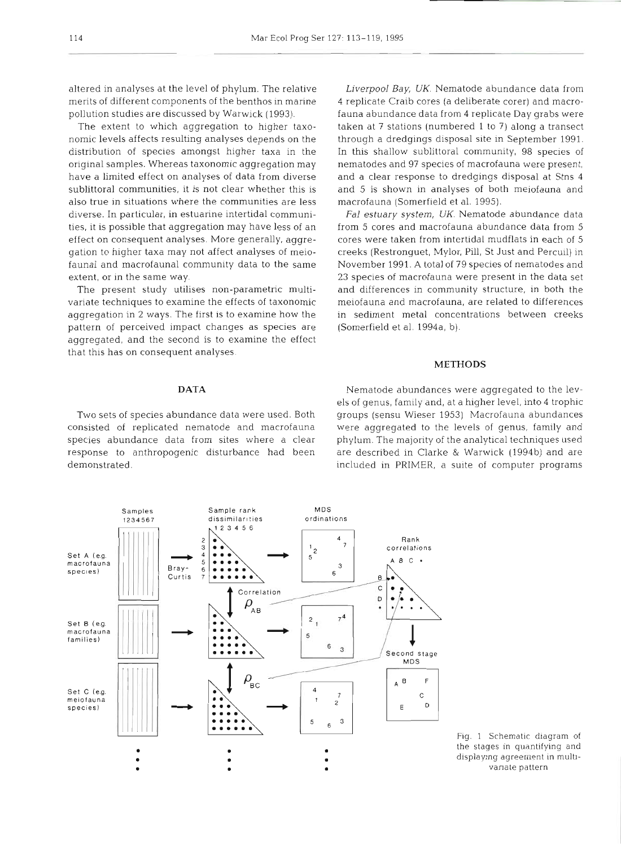altered in analyses at the level of phylum. The relative merits of different components of the benthos in marine pollution studies are discussed by Warwick (1993).

The extent to which aggregation to higher taxonomic levels affects resulting analyses depends on the distribution of species amongst higher taxa in the original samples. Whereas taxonomic aggregation may have a limited effect on analyses of data from diverse sublittoral communities, it is not clear whether this is also true in situations where the communities are less diverse. In particular, in estuarine intertidal communities, it is possible that aggregation may have less of an effect on consequent analyses. More generally, aggregation to higher taxa may not affect analyses of meiofauna1 and macrofaunal community data to the same extent, or in the same way.

The present study utilises non-parametric multivariate techniques to examine the effects of taxonomic aggregation in 2 ways. The first is to examine how the pattern of perceived impact changes as species are aggregated, and the second is to examine the effect that this has on consequent analyses.

**DATA** 

Two sets of species abundance data were used. Both consisted of replicated nematode and macrofauna species abundance data from sites where a clear response to anthropogenic disturbance had been demonstrated.

**Sample rank** 

**Samples** 

Liverpool *Bay,* UK. Nematode abundance data from 4 replicate Craib cores (a deliberate corer) and macrofauna abundance data from 4 replicate Day grabs were taken at 7 stations (numbered 1 to 7) along a transect through a dredgings disposal site in September 1991. In this shallow sublittoral community, 98 species of nematodes and 97 species of macrofauna were present, and a clear response to dredgings disposal at Stns 4 and 5 is shown in analyses of both meiofauna and macrofauna (Somerfield et al. 1995).

*Fa1 estuary system,* UK. Nematode abundance data from **5** cores and macrofauna abundance data from 5 cores were taken from intertidal mudflats in each of 5 creeks (Restronguet, Mylor, Pill, St Just and Percuil) in November 1991. A total of 79 species of nematodes and 23 species of macrofauna were present in the data set and differences in community structure, in both the meiofauna and macrofauna, are related to differences in sediment metal concentrations between creeks (Somerfield et al. 1994a, b).

#### **METHODS**

Nematode abundances were aggregated to the levels of genus, family and, at a higher level, into 4 trophic groups (sensu Wieser 1953) Macrofauna abundances were aggregated to the levels of genus, family and phylum. The majority of the analytical techniques used are described in Clarke & Warwick (1994b) and are included in PRIMER, a suite of computer programs



**MDS** 

Fig. 1 Schematic diagram of the stages in quantifying and displaying agreement in multivanate pattern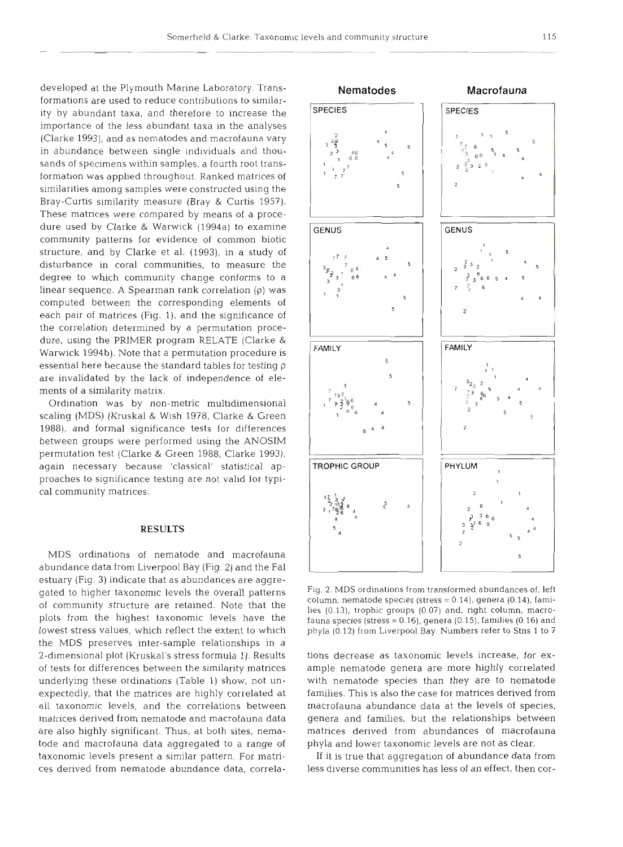developed at the Plymouth Marine Laboratory. Transformations are used to reduce contributions to similarity by abundant taxa, and therefore to increase the importance of the less abundant taxa in the analyses (Clarke 1993), and as nematodes and macrofauna vary in abundance between single individuals and thousands of specimens within samples, a fourth root transformation was applied throughout. Ranked matrices of similarities among samples were constructed using the Bray-Curtis similarity measure (Bray & Curtis 1957). These matrices were compared by means of a procedure used by Clarke & Warwick (1994a) to examine community patterns for evidence of common biotic structure, and by Clarke et al. (1993), in a study of disturbance in coral communities, to measure the degree to which community change conforms to a linear sequence. A Spearman rank correlation (p) was computed between the corresponding elements of each pair of matrices (Fig. 1), and the significance of the correlation determined by a permutation procedure, using the PRIMER program RELATE (Clarke & Warwick 1994b). Note that a permutation procedure is essential here because the standard tables for testing  $\rho$ are invalidated by the lack of independence of elements of a similarity matrix.

Ordination was by non-metric multidimensional scaling (MDS) (Kruskal & Wish 1978, Clarke & Green 1988), and formal significance tests for differences between groups were performed using the ANOSIM permutation test (Clarke & Green 1988, Clarke 1993), again necessary because 'classical' statistical approaches to significance testing are not valid for typical community matrices.

### **RESULTS**

MDS ordinations of nematode and macrofauna abundance data from Liverpool Bay (Fig. 2) and the Fa1 estuary (Fig. 3) indicate that as abundances are aggregated to higher taxonomic levels the overall patterns of community structure are retained. Note that the plots from the highest taxonomic levels have the lowest stress values, which reflect the extent to which the MDS preserves inter-sample relationships in a 2-dimensional plot (Kruskal's stress formula 1). Results of tests for differences between the similarity matrices underlying these ordinations (Table 1) show, not unexpectedly, that the matrices are highly correlated at all taxonomic levels, and the correlations between matrices derived from nematode and macrofauna data are also highly significant. Thus, at both sites, nematode and macrofauna data aggregated to a range of taxonomic levels present a similar pattern. For matrices derived from nematode abundance data, correla-



Fig. 2. MDS ordinations from transformed abundances of, left<br>column, nematode species (stress = 0.14), genera (0.14), fami-<br>lies (0.13), trophic groups (0.07) and, right column, macro-<br>fauna species (stress = 0.16), gener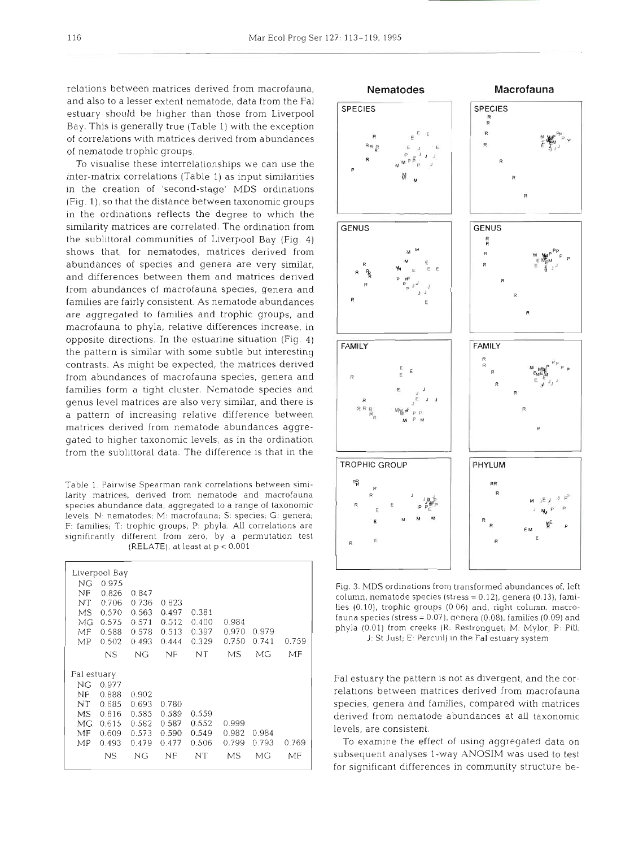relations between matrices derived from macrofauna, and also to a lesser extent nematode, data from the Fa1 estuary should be higher than those from Liverpool Bay. This is generally true (Table l) with the exception of correlations wlth matrices derived from abundances of nematode trophic groups.

To visualise these interrelationships we can use the inter-matrix correlations (Table 1) as input similarities in the creation of 'second-stage' MDS ordinations (Fig. l), so that the distance between taxonomic groups in the ordinations reflects the degree to which the similarity matrices are correlated. The ordination from the sublittoral communities of Liverpool Bay (Fig. 4) shows that, for nematodes, matrices derived from abundances of species and genera are very similar, and differences between them and matrices derived from abundances of macrofauna species, genera and families are fairly consistent. As nematode abundances are aggregated to families and trophic groups, and macrofauna to phyla, relative differences increase, in opposite directions. In the estuarine situation (Fig. 4) the pattern is similar with some subtle but interesting contrasts. As might be expected, the matrices derived from abundances of macrofauna species, genera and families form a tight cluster. Nematode species and genus level matrices are also very similar, and there is a pattern of increasing relative difference between matrices derived from nematode abundances aggregated to higher taxonomic levels, as in the ordination from the sublittoral data. The difference is that in the

Table 1. Pairwise Spearman rank correlations between similarity matrices, derived from nematode and macrofauna species abundance data, aggregated to a range of taxonomic levels. N: nematodes; M: macrofauna; S: species; G: genera; F: families; T: trophic groups; P: phyla. All correlations are significantly different from zero, by a permutation test (RELATE), at least at  $p < 0.001$ 

| Liverpool Bay |       |       |       |       |       |       |       |  |
|---------------|-------|-------|-------|-------|-------|-------|-------|--|
| ΝG            | 0.975 |       |       |       |       |       |       |  |
| NF            | 0.826 | 0.847 |       |       |       |       |       |  |
| NT            | 0.706 | 0.736 | 0.823 |       |       |       |       |  |
| MS            | 0.570 | 0.563 | 0.497 | 0.381 |       |       |       |  |
| МG            | 0.575 | 0.571 | 0.512 | 0.400 | 0.984 |       |       |  |
| MF            | 0.588 | 0.578 | 0.513 | 0.397 | 0.970 | 0.979 |       |  |
| MP            | 0.502 | 0.493 | 0.444 | 0.329 | 0.750 | 0.741 | 0.759 |  |
|               | NS    | NG    | NF    | NT    | МS    | MG    | MF    |  |
| Fal estuary   |       |       |       |       |       |       |       |  |
| ΝG            | 0.977 |       |       |       |       |       |       |  |
| ΝF            | 0.888 | 0.902 |       |       |       |       |       |  |
| ΝT            | 0.685 | 0.693 | 0.780 |       |       |       |       |  |
| <b>MS</b>     | 0.616 | 0.585 | 0.589 | 0.559 |       |       |       |  |
| MG.           | 0.615 | 0.582 | 0.587 | 0.552 | 0.999 |       |       |  |
| MF            | 0.609 | 0.573 | 0.590 | 0.549 | 0.982 | 0.984 |       |  |
| МP            | 0.493 | 0.479 | 0.477 | 0.506 | 0.799 | 0.793 | 0.769 |  |
|               | ΝS    | ΝG    | NF    | NT    | МS    | МG    | MF    |  |
|               |       |       |       |       |       |       |       |  |



Fig. 3. MDS ordinations from transformed abundances of, left column, nematode species (stress  $= 0.12$ ), genera (0.13), families (0.10), trophic groups (0.06) and. right column. macrofauna species (stress =  $0.07$ ), genera (0.08), families (0.09) and phyla (0.01) from creeks (K: Restronguet; M: Mylor; P: Pill; J: St Just; E: Percuil) in the Fa1 estuary system

Fa1 estuary the pattern is not as divergent, and the correlations between matrices derived from macrofauna species, genera and families, compared with matrices derived from nematode abundances at all taxonomic levels, are consistent.

To examine the effect of using aggregated data on subsequent analyses l-way ANOSIM was used to test for significant differences in community structure be-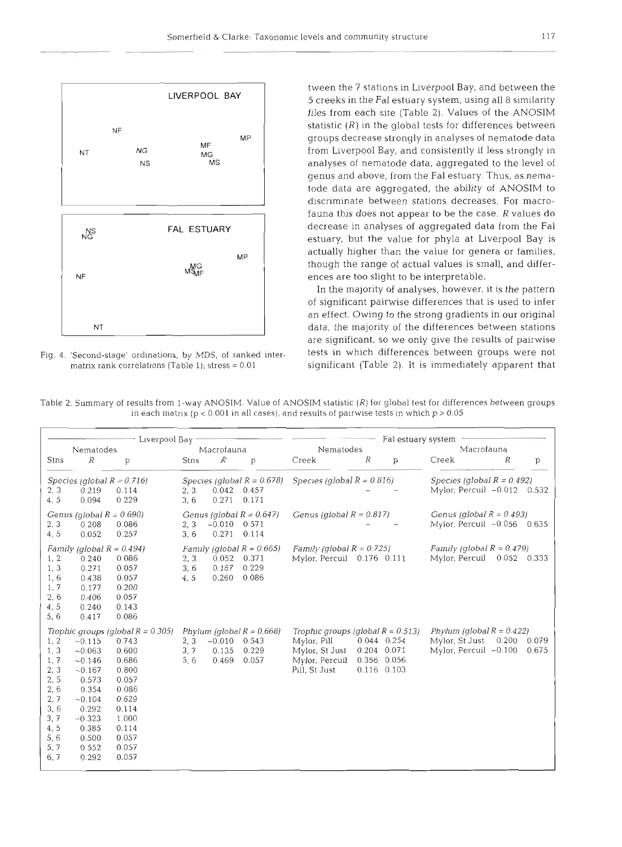

tween the 7 stations in Liverpool Bay, and between the 5 creeks in the Fa1 estuary system, using all 8 similarity files from each site (Table 2). Values of the ANOSIM statistic  $(R)$  in the global tests for differences between groups decrease strongly in analyses of nematode data from Liverpool Bay, and consistently if less strongly in analyses of nematode data, aggregated to the level of genus and above, from the Fa1 estuary. Thus, as nematode data are aggregated, the ability of ANOSIM to discriminate between stations decreases. For macrofauna this does not appear to be the case.  $R$  values do decrease in analyses of aggregated data from the Fa1 estuary, but the value for phyla at Liverpool Bay is actually higher than the value for genera or families, though the range of actual values is small, and differences are too slight to be interpretable.

In the majority of analyses, however, it is the pattern of significant pairwise differences that is used to infer an effect. Owing to the strong gradients in our original data, the majority of the differences between stations are significant, so we only give the results of pairwise Fig. 4. 'Second-stage' ordinations, by MDS, of ranked inter-<br>matrix rank correlations (Table 1); stress = 0.01 significant (Table 2). It is immediately apparent that significant (Table 2). It is immediately apparent that

| Table 2. Summary of results from 1-way ANOSIM. Value of ANOSIM statistic $(R)$ for global test for differences between groups |  |  |
|-------------------------------------------------------------------------------------------------------------------------------|--|--|
| in each matrix (p < 0.001 in all cases), and results of pairwise tests in which p > $0.05$                                    |  |  |

P- -

|                                                                                                   | Liverpool Bay                                                                                                                       |                                                                                                                                                           |                      |                            |                                                         | Fal estuary system                                                                                       |                                              |                |                                                                         |       |                |
|---------------------------------------------------------------------------------------------------|-------------------------------------------------------------------------------------------------------------------------------------|-----------------------------------------------------------------------------------------------------------------------------------------------------------|----------------------|----------------------------|---------------------------------------------------------|----------------------------------------------------------------------------------------------------------|----------------------------------------------|----------------|-------------------------------------------------------------------------|-------|----------------|
| Nematodes                                                                                         |                                                                                                                                     | Macrofauna                                                                                                                                                |                      | Nematodes                  |                                                         | Macrofauna                                                                                               |                                              |                |                                                                         |       |                |
| Stns                                                                                              | R                                                                                                                                   | p                                                                                                                                                         | Stns                 | R                          | p                                                       | Creek                                                                                                    | R                                            | p              | Creek                                                                   | R     | p              |
| 2, 3<br>4, 5                                                                                      | 0.219<br>0.094                                                                                                                      | Species (global $R = 0.716$ )<br>0.114<br>0.229                                                                                                           | 2, 3<br>3, 6         | 0.042<br>0.271             | Species (global $R = 0.678$ )<br>0.457<br>0.171         | Species (global $R = 0.816$ )                                                                            |                                              |                | Species (global $R = 0.492$ )<br>Mylor, Percuil -0.012 0.532            |       |                |
| 2, 3<br>4,5                                                                                       | Genus (global $R = 0.690$ )<br>0.208<br>0.052                                                                                       | 0.086<br>0.257                                                                                                                                            | 2, 3<br>3, 6         | $-0.010$<br>0.271          | Genus (global $R = 0.647$ )<br>0.571<br>0.114           | Genus (global $R = 0.817$ )                                                                              |                                              |                | Genus (global $R = 0.493$ )<br>Mylor, Percuil -0.056 0.635              |       |                |
| 1, 2<br>1, 3<br>1, 6<br>1, 7<br>2, 6<br>4, 5<br>5, 6                                              | Family (global $R = 0.494$ )<br>0.240<br>0.271<br>0.438<br>0.177<br>0.406<br>0.240<br>0.417                                         | 0.086<br>0.057<br>0.057<br>0.200<br>0.057<br>0.143<br>0.086                                                                                               | 2, 3<br>3, 6<br>4, 5 | 0.052<br>0.167<br>0.260    | Family (global $R = 0.665$ )<br>0.371<br>0.229<br>0.086 | Family (global $R = 0.725$ )<br>Mylor, Percuil 0.176 0.111                                               |                                              |                | Family (global $R = 0.479$ )<br>Mylor, Percuil 0.052 0.333              |       |                |
| 1, 2<br>1, 3<br>1, 7<br>2, 3<br>2, 5<br>2, 6<br>2,7<br>3, 6<br>3, 7<br>4, 5<br>5, 6<br>5,7<br>6,7 | $-0.115$<br>$-0.063$<br>$-0.146$<br>$-0.167$<br>0.573<br>0.354<br>$-0.104$<br>0.292<br>$-0.323$<br>0.385<br>0.500<br>0.552<br>0.292 | Trophic groups (global $R = 0.305$ )<br>0.743<br>0.600<br>0.686<br>0.800<br>0.057<br>0.086<br>0.629<br>0.114<br>1.000<br>0.114<br>0.057<br>0.057<br>0.057 | 2, 3<br>3.7<br>5, 6  | $-0.010$<br>0.135<br>0.469 | Phylum (global $R = 0.668$ )<br>0.543<br>0.229<br>0.057 | Trophic groups (global $R = 0.513$ )<br>Mylor, Pill<br>Mylor, St Just<br>Mylor, Percuil<br>Pill, St Just | 0.044 0.254<br>0.204<br>0.356<br>0.116 0.103 | 0.071<br>0.056 | Phylum (global $R = 0.422$ )<br>Mylor, St Just<br>Mylor, Percuil -0.100 | 0.200 | 0.079<br>0.675 |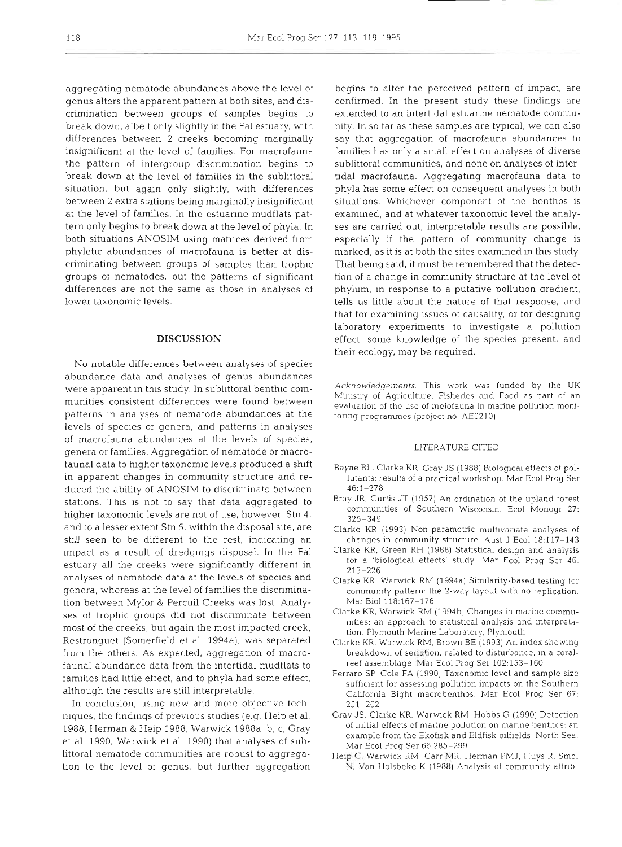aggregating nematode abundances above the level of genus alters the apparent pattern at both sites, and discrimination between groups of samples begins to break down, albeit only slightly in the Fa1 estuary, with differences between 2 creeks becoming marginally insignificant at the level of families. For macrofauna the pattern of intergroup discrimination begins to break down at the level of families in the sublittoral situation, but again only slightly, with differences between 2 extra stations being marginally insignificant at the level of families. In the estuarine mudflats pattern only begins to break down at the level of phyla. In both situations ANOSIM using matrices derived from phyletic abundances of macrofauna is better at discriminating between groups of samples than trophic groups of nematodes, but the patterns of significant differences are not the same as those in analyses of lower taxonomic levels.

#### **DISCUSSION**

No notable differences between analyses of species abundance data and analyses of genus abundances were apparent in this study. In sublittoral benthic communities consistent differences were found between patterns in analyses of nematode abundances at the levels of species or genera, and patterns in analyses of macrofauna abundances at the levels of species, genera or families. Aggregation of nematode or macrofaunal data to higher taxonomic levels produced a shift in apparent changes in community structure and reduced the ability of ANOSIM to discriminate between stations. This is not to say that data aggregated to higher taxonomic levels are not of use, however. Stn 4, and to a lesser extent Stn 5, within the disposal site, are still seen to be different to the rest, indicating an impact as a result of dredgings disposal. In the Fa1 estuary all the creeks were significantly different in analyses of nematode data at the levels of species and genera, whereas at the level of families the discrimination between Mylor & Percuil Creeks was lost. Analyses of trophic groups did not discriminate between most of the creeks, but again the most impacted creek, Restronguet (Somerfield et al. 1994a), was separated from the others. As expected, aggregation of macrofaunal abundance data from the intertidal mudflats to families had little effect, and to phyla had some effect, although the results are still interpretable.

In conclusion, using new and more objective techniques, the findings of previous studies (e.g. Heip et al. 1988, Herman & Heip 1988, Warwick 1988a, b, c, Gray et al. 1990, Warwick et al. 1990) that analyses of sublittoral nematode communities are robust to aggregation to the level of genus, but further aggregation

begins to alter the perceived pattern of impact, are confirmed. In the present study these findings are extended to an intertidal estuarine nematode community. In so far as these samples are typical, we can also say that aggregation of macrofauna abundances to families has only a small effect on analyses of diverse sublittoral communities, and none on analyses of intertidal macrofauna. Aggregating macrofauna data to phyla has some effect on consequent analyses in both situations. Whichever component of the benthos is examined, and at whatever taxonomic level the analyses are carried out, interpretable results are possible, especially if the pattern of community change is marked, as it is at both the sites examined in this study. That being said, it must be remembered that the detection of a change in community structure at the level of phylum, in response to a putative pollution gradient, tells us little about the nature of that response, and that for examining issues of causality, or for designing laboratory experiments to investigate a pollution effect, some knowledge of the species present, and their ecology, may be required.

Acknowledgements. This work was funded by the UK Ministry of Agriculture, Fisheries and Food as part of an evaluation of the use of meiofauna in marine pollution monitoring programmes (project no. AE0210).

#### LITERATURE CITED

- Bayne BL, Clarke KR, Gray JS (1988) Biological effects of pollutants: results of a practical workshop. Mar Ecol Prog Ser 46:l-278
- Bray JR. Curtis JT (1957) An ordination of the upland forest communities of Southern Wisconsin. Ecol Monogr 27: 325-349
- Clarke KR (1993) Non-parametric multivariate analyses of changes in community structure. Aust J Ecol 18:117-143
- Clarke KR. Green RH (1988) Statistical design and analysis for a 'biological effects' study. Mar Ecol Prog Ser 46: 213-226
- Clarke KR. Warwick RM (1994a) Similarity-based testing for community pattern: the 2-way layout with no replication. Mar Biol 118:16?-176
- Clarke KR. Warwick RM (1994b) Changes in marine communities: an approach to statistical analysis and mterpretation. Plymouth Marine Laboratory, Plymouth
- Clarke KR. Warwick RM, Brown BE (1993) An index showing breakdown of seriation, related to disturbance, in a coralreef assemblage. Mar Ecol Prog Ser 102:153-160
- Ferraro SP, Cole FA (1990) Taxonomic level and sample size sufficient for assessing pollution impacts on the Southern California Bight macrobenthos. Mar Ecol Prog Ser 67: 251-262
- Gray JS, Clarke KR, Warwick RM, Hobbs G (1990) Detection of initial effects of marine pollution on marine benthos: an example from the Ekofisk and Eldfisk oilfields, North Sea. Mar Ecol Prog Ser 66:285-299
- Heip C, Warwick RM, Carr MR, Herman PMJ, Huys R, Smol N. Van Holsbeke K (1988) Analysis of community attnb-